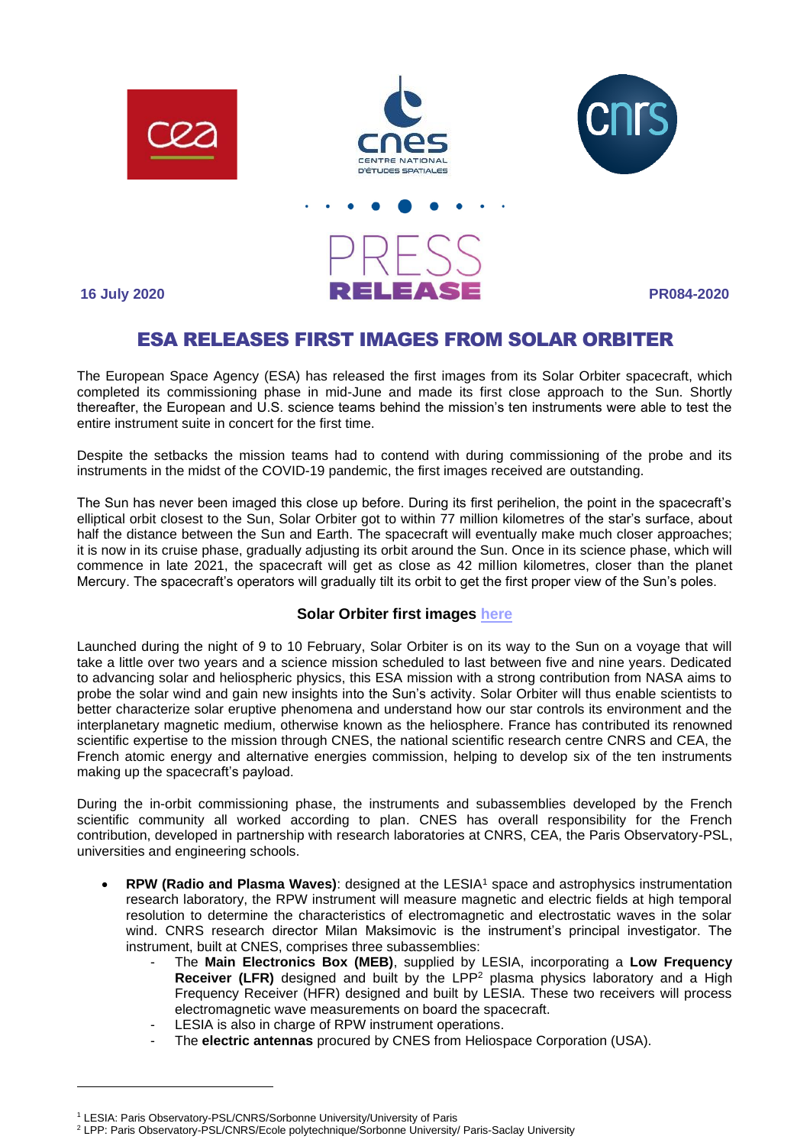





**16 July 2020 PR084-2020**

## ESA RELEASES FIRST IMAGES FROM SOLAR ORBITER

The European Space Agency (ESA) has released the first images from its Solar Orbiter spacecraft, which completed its commissioning phase in mid-June and made its first close approach to the Sun. Shortly thereafter, the European and U.S. science teams behind the mission's ten instruments were able to test the entire instrument suite in concert for the first time.

Despite the setbacks the mission teams had to contend with during commissioning of the probe and its instruments in the midst of the COVID-19 pandemic, the first images received are outstanding.

The Sun has never been imaged this close up before. During its first perihelion, the point in the spacecraft's elliptical orbit closest to the Sun, Solar Orbiter got to within 77 million kilometres of the star's surface, about half the distance between the Sun and Earth. The spacecraft will eventually make much closer approaches; it is now in its cruise phase, gradually adjusting its orbit around the Sun. Once in its science phase, which will commence in late 2021, the spacecraft will get as close as 42 million kilometres, closer than the planet Mercury. The spacecraft's operators will gradually tilt its orbit to get the first proper view of the Sun's poles.

## **Solar Orbiter first images [here](https://www.esa.int/Science_Exploration/Space_Science/Solar_Orbiter/Solar_Orbiter_s_first_images_reveal_campfires_on_the_Sun)**

Launched during the night of 9 to 10 February, Solar Orbiter is on its way to the Sun on a voyage that will take a little over two years and a science mission scheduled to last between five and nine years. Dedicated to advancing solar and heliospheric physics, this ESA mission with a strong contribution from NASA aims to probe the solar wind and gain new insights into the Sun's activity. Solar Orbiter will thus enable scientists to better characterize solar eruptive phenomena and understand how our star controls its environment and the interplanetary magnetic medium, otherwise known as the heliosphere. France has contributed its renowned scientific expertise to the mission through CNES, the national scientific research centre CNRS and CEA, the French atomic energy and alternative energies commission, helping to develop six of the ten instruments making up the spacecraft's payload.

During the in-orbit commissioning phase, the instruments and subassemblies developed by the French scientific community all worked according to plan. CNES has overall responsibility for the French contribution, developed in partnership with research laboratories at CNRS, CEA, the Paris Observatory-PSL, universities and engineering schools.

- **RPW (Radio and Plasma Waves)**: designed at the LESIA<sup>1</sup> space and astrophysics instrumentation research laboratory, the RPW instrument will measure magnetic and electric fields at high temporal resolution to determine the characteristics of electromagnetic and electrostatic waves in the solar wind. CNRS research director Milan Maksimovic is the instrument's principal investigator. The instrument, built at CNES, comprises three subassemblies:
	- The **Main Electronics Box (MEB)**, supplied by LESIA, incorporating a **Low Frequency Receiver (LFR)** designed and built by the LPP<sup>2</sup> plasma physics laboratory and a High Frequency Receiver (HFR) designed and built by LESIA. These two receivers will process electromagnetic wave measurements on board the spacecraft.
	- LESIA is also in charge of RPW instrument operations.
	- The **electric antennas** procured by CNES from Heliospace Corporation (USA).

<sup>1</sup> LESIA: Paris Observatory-PSL/CNRS/Sorbonne University/University of Paris

<sup>&</sup>lt;sup>2</sup> LPP: Paris Observatory-PSL/CNRS/Ecole polytechnique/Sorbonne University/ Paris-Saclay University